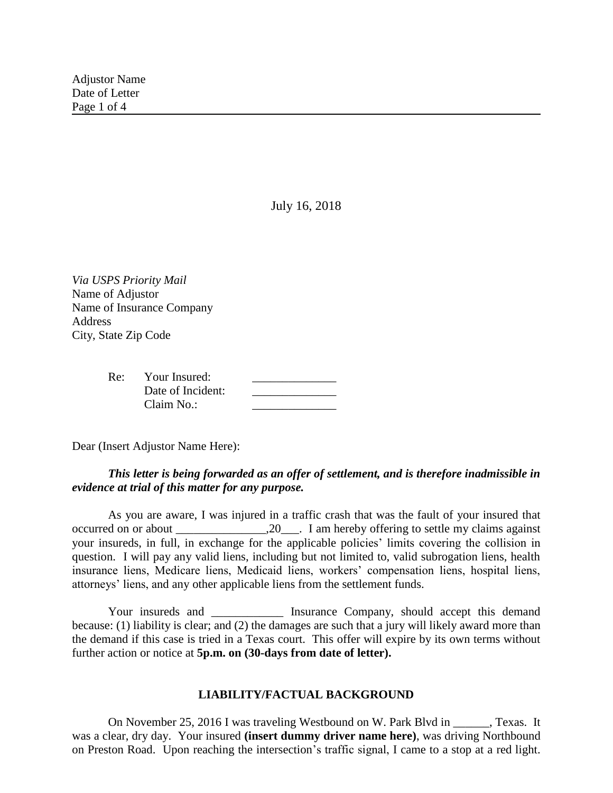July 16, 2018

*Via USPS Priority Mail* Name of Adjustor Name of Insurance Company Address City, State Zip Code

| Re: | Your Insured:     |  |
|-----|-------------------|--|
|     | Date of Incident: |  |
|     | Claim No.:        |  |

Dear (Insert Adjustor Name Here):

# *This letter is being forwarded as an offer of settlement, and is therefore inadmissible in evidence at trial of this matter for any purpose.*

As you are aware, I was injured in a traffic crash that was the fault of your insured that occurred on or about  $\frac{1}{20}$ . I am hereby offering to settle my claims against your insureds, in full, in exchange for the applicable policies' limits covering the collision in question. I will pay any valid liens, including but not limited to, valid subrogation liens, health insurance liens, Medicare liens, Medicaid liens, workers' compensation liens, hospital liens, attorneys' liens, and any other applicable liens from the settlement funds.

Your insureds and **Insurance Company**, should accept this demand because: (1) liability is clear; and (2) the damages are such that a jury will likely award more than the demand if this case is tried in a Texas court. This offer will expire by its own terms without further action or notice at **5p.m. on (30-days from date of letter).**

## **LIABILITY/FACTUAL BACKGROUND**

On November 25, 2016 I was traveling Westbound on W. Park Blvd in Fexas. It was a clear, dry day. Your insured **(insert dummy driver name here)**, was driving Northbound on Preston Road. Upon reaching the intersection's traffic signal, I came to a stop at a red light.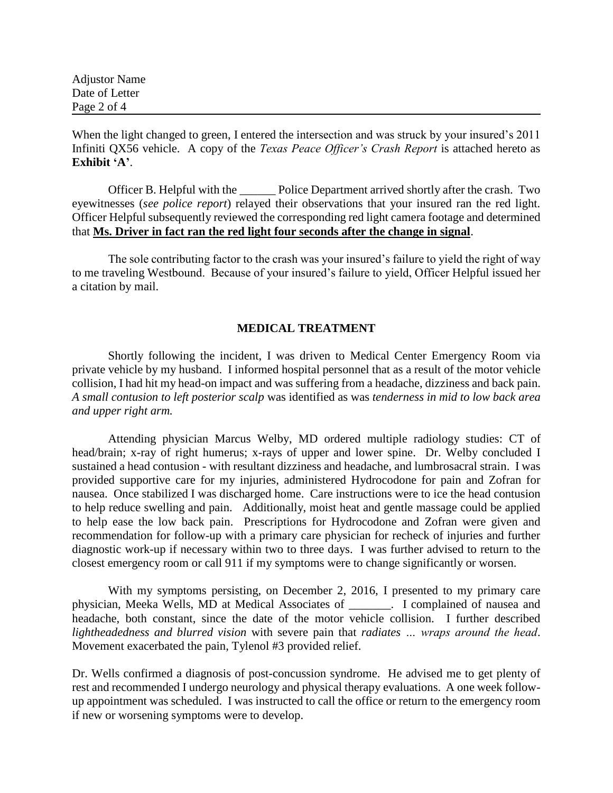Adjustor Name Date of Letter Page 2 of 4

When the light changed to green, I entered the intersection and was struck by your insured's 2011 Infiniti QX56 vehicle. A copy of the *Texas Peace Officer's Crash Report* is attached hereto as **Exhibit 'A'**.

Officer B. Helpful with the \_\_\_\_\_\_ Police Department arrived shortly after the crash. Two eyewitnesses (*see police report*) relayed their observations that your insured ran the red light. Officer Helpful subsequently reviewed the corresponding red light camera footage and determined that **Ms. Driver in fact ran the red light four seconds after the change in signal**.

The sole contributing factor to the crash was your insured's failure to yield the right of way to me traveling Westbound. Because of your insured's failure to yield, Officer Helpful issued her a citation by mail.

## **MEDICAL TREATMENT**

Shortly following the incident, I was driven to Medical Center Emergency Room via private vehicle by my husband. I informed hospital personnel that as a result of the motor vehicle collision, I had hit my head-on impact and was suffering from a headache, dizziness and back pain. *A small contusion to left posterior scalp* was identified as was *tenderness in mid to low back area and upper right arm.*

Attending physician Marcus Welby, MD ordered multiple radiology studies: CT of head/brain; x-ray of right humerus; x-rays of upper and lower spine. Dr. Welby concluded I sustained a head contusion - with resultant dizziness and headache, and lumbrosacral strain. I was provided supportive care for my injuries, administered Hydrocodone for pain and Zofran for nausea. Once stabilized I was discharged home. Care instructions were to ice the head contusion to help reduce swelling and pain. Additionally, moist heat and gentle massage could be applied to help ease the low back pain. Prescriptions for Hydrocodone and Zofran were given and recommendation for follow-up with a primary care physician for recheck of injuries and further diagnostic work-up if necessary within two to three days. I was further advised to return to the closest emergency room or call 911 if my symptoms were to change significantly or worsen.

With my symptoms persisting, on December 2, 2016, I presented to my primary care physician, Meeka Wells, MD at Medical Associates of \_\_\_\_\_\_\_. I complained of nausea and headache, both constant, since the date of the motor vehicle collision. I further described *lightheadedness and blurred vision* with severe pain that *radiates … wraps around the head*. Movement exacerbated the pain, Tylenol #3 provided relief.

Dr. Wells confirmed a diagnosis of post-concussion syndrome. He advised me to get plenty of rest and recommended I undergo neurology and physical therapy evaluations. A one week followup appointment was scheduled. I was instructed to call the office or return to the emergency room if new or worsening symptoms were to develop.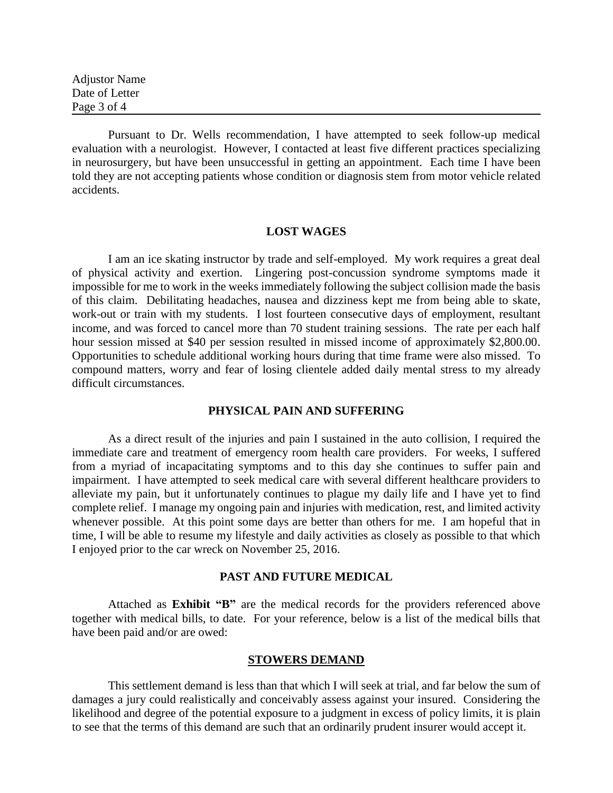Adjustor Name Date of Letter Page 3 of 4

Pursuant to Dr. Wells recommendation, I have attempted to seek follow-up medical evaluation with a neurologist. However, I contacted at least five different practices specializing in neurosurgery, but have been unsuccessful in getting an appointment. Each time I have been told they are not accepting patients whose condition or diagnosis stem from motor vehicle related accidents.

### **LOST WAGES**

I am an ice skating instructor by trade and self-employed. My work requires a great deal of physical activity and exertion. Lingering post-concussion syndrome symptoms made it impossible for me to work in the weeks immediately following the subject collision made the basis of this claim. Debilitating headaches, nausea and dizziness kept me from being able to skate, work-out or train with my students. I lost fourteen consecutive days of employment, resultant income, and was forced to cancel more than 70 student training sessions. The rate per each half hour session missed at \$40 per session resulted in missed income of approximately \$2,800.00. Opportunities to schedule additional working hours during that time frame were also missed. To compound matters, worry and fear of losing clientele added daily mental stress to my already difficult circumstances.

## **PHYSICAL PAIN AND SUFFERING**

As a direct result of the injuries and pain I sustained in the auto collision, I required the immediate care and treatment of emergency room health care providers. For weeks, I suffered from a myriad of incapacitating symptoms and to this day she continues to suffer pain and impairment. I have attempted to seek medical care with several different healthcare providers to alleviate my pain, but it unfortunately continues to plague my daily life and I have yet to find complete relief. I manage my ongoing pain and injuries with medication, rest, and limited activity whenever possible. At this point some days are better than others for me. I am hopeful that in time, I will be able to resume my lifestyle and daily activities as closely as possible to that which I enjoyed prior to the car wreck on November 25, 2016.

#### **PAST AND FUTURE MEDICAL**

Attached as **Exhibit "B"** are the medical records for the providers referenced above together with medical bills, to date. For your reference, below is a list of the medical bills that have been paid and/or are owed:

#### **STOWERS DEMAND**

This settlement demand is less than that which I will seek at trial, and far below the sum of damages a jury could realistically and conceivably assess against your insured. Considering the likelihood and degree of the potential exposure to a judgment in excess of policy limits, it is plain to see that the terms of this demand are such that an ordinarily prudent insurer would accept it.